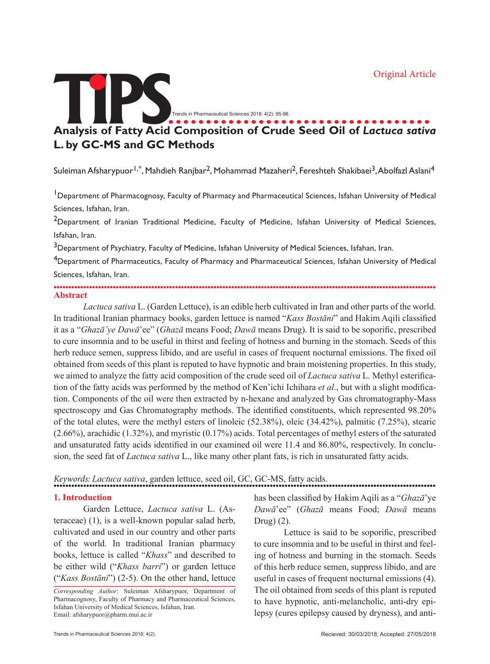

Suleiman Afsharypuor<sup>1,\*</sup>, Mahdieh Ranibar<sup>2</sup>, Mohammad Mazaheri<sup>2</sup>, Fereshteh Shakibaei<sup>3</sup>, Abolfazl Aslani<sup>4</sup>

<sup>1</sup>Department of Pharmacognosy, Faculty of Pharmacy and Pharmaceutical Sciences, Isfahan University of Medical Sciences, Isfahan, Iran.

<sup>2</sup>Department of Iranian Traditional Medicine, Faculty of Medicine, Isfahan University of Medical Sciences, Isfahan, Iran.

<sup>3</sup>Department of Psychiatry, Faculty of Medicine, Isfahan University of Medical Sciences, Isfahan, Iran.

<sup>4</sup>Department of Pharmaceutics, Faculty of Pharmacy and Pharmaceutical Sciences, Isfahan University of Medical Sciences, Isfahan, Iran.

................................................................................................................................. **Abstract**

*Lactuca sativa* L. (Garden Lettuce), is an edible herb cultivated in Iran and other parts of the world. In traditional Iranian pharmacy books, garden lettuce is named "*Kass Bostāni*" and Hakim Aqili classified it as a "*Ghazā'ye Dawā*'ee" (*Ghazā* means Food; *Dawā* means Drug). It is said to be soporific, prescribed to cure insomnia and to be useful in thirst and feeling of hotness and burning in the stomach. Seeds of this herb reduce semen, suppress libido, and are useful in cases of frequent nocturnal emissions. The fixed oil obtained from seeds of this plant is reputed to have hypnotic and brain moistening properties. In this study, we aimed to analyze the fatty acid composition of the crude seed oil of *Lactuca sativa* L. Methyl esterification of the fatty acids was performed by the method of Ken'ichi Ichihara *et al*., but with a slight modification. Components of the oil were then extracted by n-hexane and analyzed by Gas chromatography-Mass spectroscopy and Gas Chromatography methods. The identified constituents, which represented 98.20% of the total elutes, were the methyl esters of linoleic (52.38%), oleic (34.42%), palmitic (7.25%), stearic (2.66%), arachidic (1.32%), and myristic (0.17%) acids. Total percentages of methyl esters of the saturated and unsaturated fatty acids identified in our examined oil were 11.4 and 86.80%, respectively. In conclusion, the seed fat of *Lactuca sativa* L., like many other plant fats, is rich in unsaturated fatty acids.

### *Keywords: Lactuca sativa*, garden lettuce, seed oil, GC, GC-MS, fatty acids.

#### **1. Introduction**

Garden Lettuce, *Lactuca sativa* L. (Asteraceae) (1), is a well-known popular salad herb, cultivated and used in our country and other parts of the world. In traditional Iranian pharmacy books, lettuce is called "*Khass*" and described to be either wild ("*Khass barri*") or garden lettuce ("*Kass Bostāni*") (2-5). On the other hand, lettuce

........................................................................................................................... *Corresponding Author*: Suleiman Afsharypuor, Department of Pharmacognosy, Faculty of Pharmacy and Pharmaceutical Sciences, Isfahan University of Medical Sciences, Isfahan, Iran. Email: afsharypuor@pharm.mui.ac.ir

has been classified by Hakim Aqili as a "*Ghazā*'ye *Dawā*'ee" (*Ghazā* means Food; *Dawā* means Drug) (2).

Lettuce is said to be soporific, prescribed to cure insomnia and to be useful in thirst and feeling of hotness and burning in the stomach. Seeds of this herb reduce semen, suppress libido, and are useful in cases of frequent nocturnal emissions (4). The oil obtained from seeds of this plant is reputed to have hypnotic, anti-melancholic, anti-dry epilepsy (cures epilepsy caused by dryness), and anti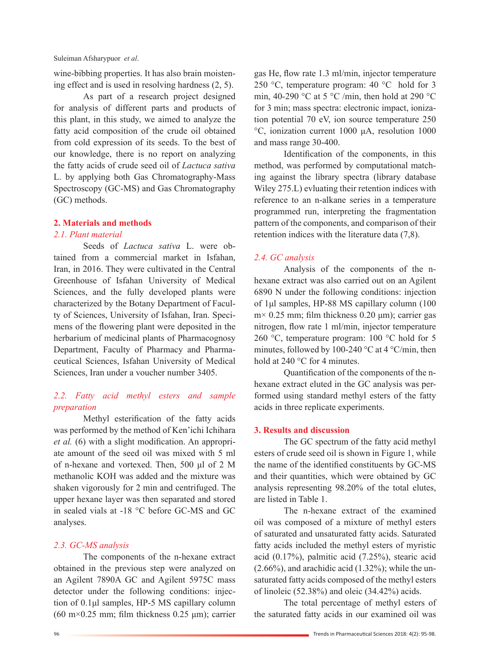wine-bibbing properties. It has also brain moistening effect and is used in resolving hardness (2, 5).

As part of a research project designed for analysis of different parts and products of this plant, in this study, we aimed to analyze the fatty acid composition of the crude oil obtained from cold expression of its seeds. To the best of our knowledge, there is no report on analyzing the fatty acids of crude seed oil of *Lactuca sativa*  L. by applying both Gas Chromatography-Mass Spectroscopy (GC-MS) and Gas Chromatography (GC) methods.

# **2. Materials and methods**

### *2.1. Plant material*

Seeds of *Lactuca sativa* L. were obtained from a commercial market in Isfahan, Iran, in 2016. They were cultivated in the Central Greenhouse of Isfahan University of Medical Sciences, and the fully developed plants were characterized by the Botany Department of Faculty of Sciences, University of Isfahan, Iran. Specimens of the flowering plant were deposited in the herbarium of medicinal plants of Pharmacognosy Department, Faculty of Pharmacy and Pharmaceutical Sciences, Isfahan University of Medical Sciences, Iran under a voucher number 3405.

# *2.2. Fatty acid methyl esters and sample preparation*

Methyl esterification of the fatty acids was performed by the method of Ken'ichi Ichihara *et al.* (6) with a slight modification. An appropriate amount of the seed oil was mixed with 5 ml of n-hexane and vortexed. Then, 500 μl of 2 M methanolic KOH was added and the mixture was shaken vigorously for 2 min and centrifuged. The upper hexane layer was then separated and stored in sealed vials at -18 °C before GC-MS and GC analyses.

### *2.3. GC-MS analysis*

The components of the n-hexane extract obtained in the previous step were analyzed on an Agilent 7890A GC and Agilent 5975C mass detector under the following conditions: injection of 0.1μl samples, HP-5 MS capillary column (60 m $\times$ 0.25 mm; film thickness 0.25 µm); carrier

gas He, flow rate 1.3 ml/min, injector temperature 250 °C, temperature program: 40 °C hold for 3 min, 40-290 °C at 5 °C /min, then hold at 290 °C for 3 min; mass spectra: electronic impact, ionization potential 70 eV, ion source temperature 250 °C, ionization current 1000 μA, resolution 1000 and mass range 30-400.

Identification of the components, in this method, was performed by computational matching against the library spectra (library database Wiley 275.L) evluating their retention indices with reference to an n-alkane series in a temperature programmed run, interpreting the fragmentation pattern of the components, and comparison of their retention indices with the literature data (7,8).

# *2.4. GC analysis*

Analysis of the components of the nhexane extract was also carried out on an Agilent 6890 N under the following conditions: injection of 1μl samples, HP-88 MS capillary column (100  $m \times 0.25$  mm; film thickness 0.20  $\mu$ m); carrier gas nitrogen, flow rate 1 ml/min, injector temperature 260 °C, temperature program: 100 °C hold for 5 minutes, followed by 100-240 °C at 4 °C/min, then hold at 240 °C for 4 minutes.

Quantification of the components of the nhexane extract eluted in the GC analysis was performed using standard methyl esters of the fatty acids in three replicate experiments.

### **3. Results and discussion**

The GC spectrum of the fatty acid methyl esters of crude seed oil is shown in Figure 1, while the name of the identified constituents by GC-MS and their quantities, which were obtained by GC analysis representing 98.20% of the total elutes, are listed in Table 1.

The n-hexane extract of the examined oil was composed of a mixture of methyl esters of saturated and unsaturated fatty acids. Saturated fatty acids included the methyl esters of myristic acid (0.17%), palmitic acid (7.25%), stearic acid  $(2.66\%)$ , and arachidic acid  $(1.32\%)$ ; while the unsaturated fatty acids composed of the methyl esters of linoleic (52.38%) and oleic (34.42%) acids.

The total percentage of methyl esters of the saturated fatty acids in our examined oil was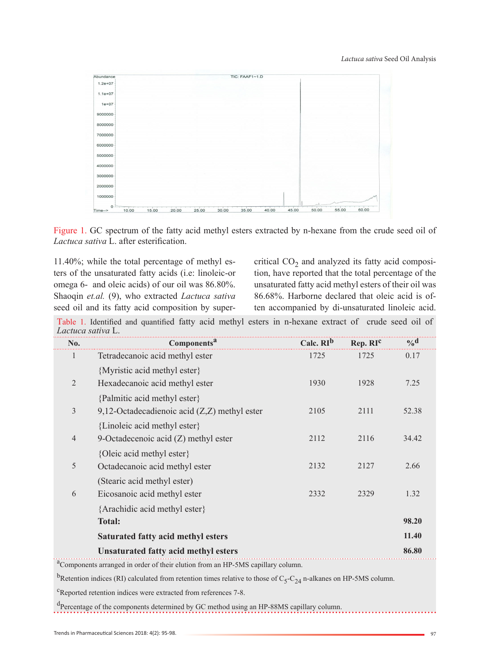

Figure 1. GC spectrum of the fatty acid methyl esters extracted by n-hexane from the crude seed oil of *Lactuca sativa* L. after esterification.

11.40%; while the total percentage of methyl esters of the unsaturated fatty acids (i.e: linoleic-or omega 6- and oleic acids) of our oil was 86.80%. Shaoqin *et.al.* (9), who extracted *Lactuca sativa*  seed oil and its fatty acid composition by supercritical  $CO<sub>2</sub>$  and analyzed its fatty acid composition, have reported that the total percentage of the unsaturated fatty acid methyl esters of their oil was 86.68%. Harborne declared that oleic acid is often accompanied by di-unsaturated linoleic acid.

Table 1. Identified and quantified fatty acid methyl esters in n-hexane extract of crude seed oil of *Lactuca sativa* L.

| No.                                                                                         | Components <sup>a</sup>                                                                                                           | Calc. RI <sup>b</sup> | Rep. RIC | $\mathbf{0}_{\mathbf{0}}\mathbf{d}$ |
|---------------------------------------------------------------------------------------------|-----------------------------------------------------------------------------------------------------------------------------------|-----------------------|----------|-------------------------------------|
| 1                                                                                           | Tetradecanoic acid methyl ester                                                                                                   | 1725                  | 1725     | 0.17                                |
|                                                                                             | {Myristic acid methyl ester}                                                                                                      |                       |          |                                     |
| $\overline{2}$                                                                              | Hexadecanoic acid methyl ester                                                                                                    | 1930                  | 1928     | 7.25                                |
|                                                                                             | {Palmitic acid methyl ester}                                                                                                      |                       |          |                                     |
| $\mathfrak{Z}$                                                                              | 9,12-Octadecadienoic acid $(Z, Z)$ methyl ester                                                                                   | 2105                  | 2111     | 52.38                               |
|                                                                                             | {Linoleic acid methyl ester}                                                                                                      |                       |          |                                     |
| $\overline{4}$                                                                              | 9-Octadecenoic acid $(Z)$ methyl ester                                                                                            | 2112                  | 2116     | 34.42                               |
|                                                                                             | {Oleic acid methyl ester}                                                                                                         |                       |          |                                     |
| 5                                                                                           | Octadecanoic acid methyl ester                                                                                                    | 2132                  | 2127     | 2.66                                |
|                                                                                             | (Stearic acid methyl ester)                                                                                                       |                       |          |                                     |
| 6                                                                                           | Eicosanoic acid methyl ester                                                                                                      | 2332                  | 2329     | 1.32                                |
|                                                                                             | {Arachidic acid methyl ester}                                                                                                     |                       |          |                                     |
|                                                                                             | <b>Total:</b>                                                                                                                     |                       |          | 98.20                               |
|                                                                                             | <b>Saturated fatty acid methyl esters</b>                                                                                         |                       |          | 11.40                               |
|                                                                                             | <b>Unsaturated fatty acid methyl esters</b>                                                                                       |                       |          | 86.80                               |
| <sup>a</sup> Components arranged in order of their elution from an HP-5MS capillary column. |                                                                                                                                   |                       |          |                                     |
|                                                                                             | <sup>b</sup> Retention indices (RI) calculated from retention times relative to those of $C_5-C_{24}$ n-alkanes on HP-5MS column. |                       |          |                                     |

<sup>c</sup>Reported retention indices were extracted from references 7-8.

<sup>d</sup>Percentage of the components determined by GC method using an HP-88MS capillary column.